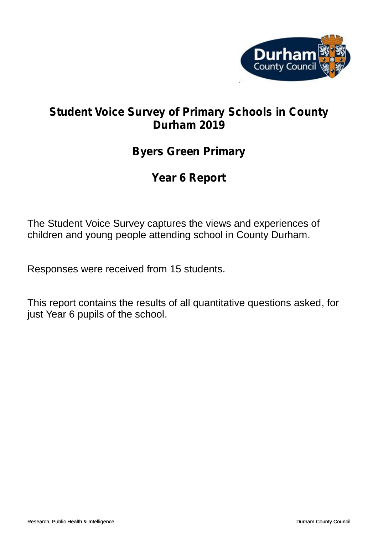

# **Student Voice Survey of Primary Schools in County Durham 2019**

# **Byers Green Primary**

# **Year 6 Report**

The Student Voice Survey captures the views and experiences of children and young people attending school in County Durham.

Responses were received from 15 students.

This report contains the results of all quantitative questions asked, for just Year 6 pupils of the school.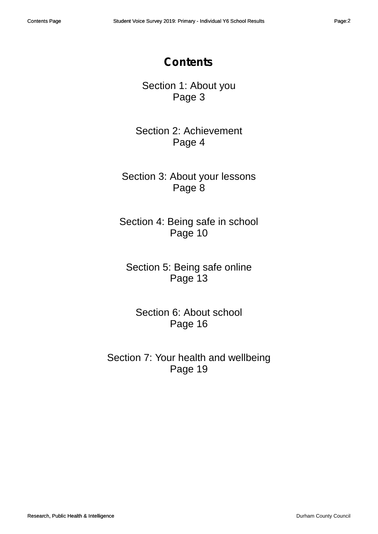# **Contents**

Section 1: About you Page 3

Section 2: Achievement Page 4

Section 3: About your lessons Page 8

Section 4: Being safe in school Page 10

Section 5: Being safe online Page 13

Section 6: About school Page 16

Section 7: Your health and wellbeing Page 19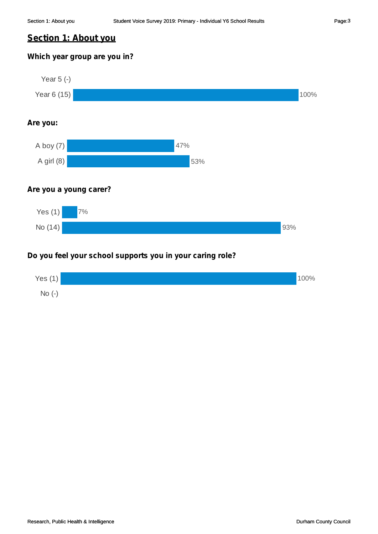# **Section 1: About you**

# **Which year group are you in?**



# **Do you feel your school supports you in your caring role?**

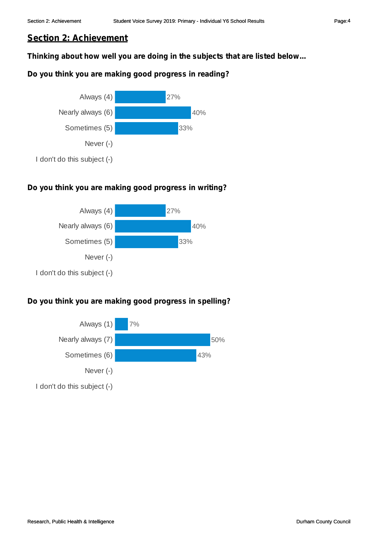# **Section 2: Achievement**

**Thinking about how well you are doing in the subjects that are listed below...**

# **Do you think you are making good progress in reading?**



# **Do you think you are making good progress in writing?**



# **Do you think you are making good progress in spelling?**

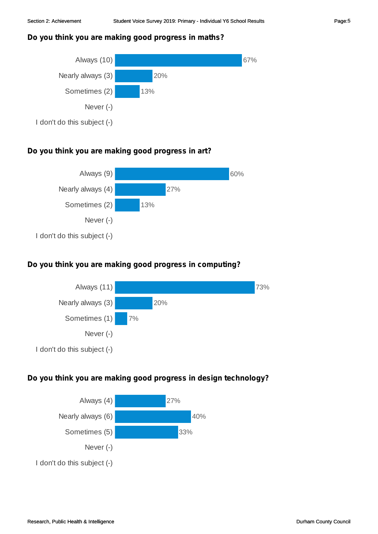# **Do you think you are making good progress in maths?**



# **Do you think you are making good progress in art?**



# **Do you think you are making good progress in computing?**



# **Do you think you are making good progress in design technology?**

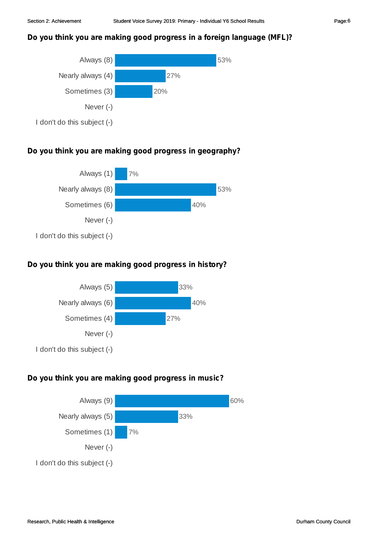# **Do you think you are making good progress in a foreign language (MFL)?**



# **Do you think you are making good progress in geography?**



# **Do you think you are making good progress in history?**



# **Do you think you are making good progress in music?**

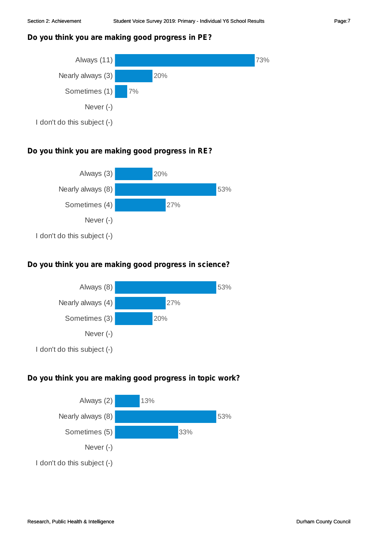# **Do you think you are making good progress in PE?**



# **Do you think you are making good progress in RE?**



# **Do you think you are making good progress in science?**



# **Do you think you are making good progress in topic work?**

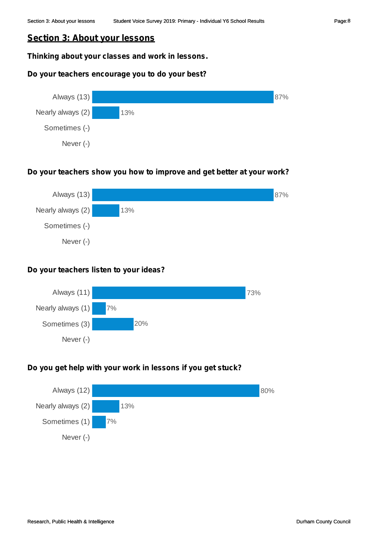# **Section 3: About your lessons**

# **Thinking about your classes and work in lessons.**

# **Do your teachers encourage you to do your best?**



# **Do your teachers show you how to improve and get better at your work?**



# **Do your teachers listen to your ideas?**



# **Do you get help with your work in lessons if you get stuck?**

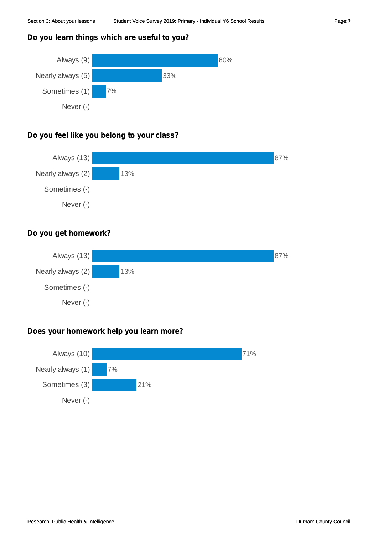#### **Do you learn things which are useful to you?**



# **Do you feel like you belong to your class?**



#### **Do you get homework?**



#### **Does your homework help you learn more?**

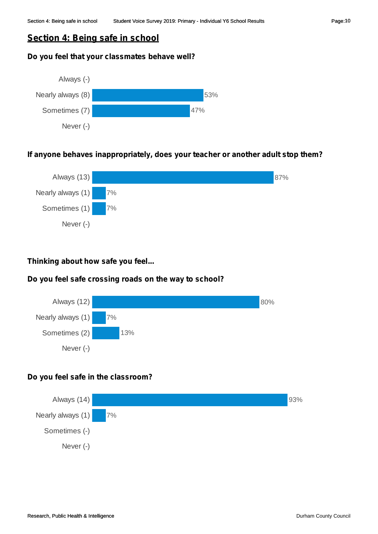# **Section 4: Being safe in school**

#### **Do you feel that your classmates behave well?**



#### **If anyone behaves inappropriately, does your teacher or another adult stop them?**



#### **Thinking about how safe you feel...**

#### **Do you feel safe crossing roads on the way to school?**



#### **Do you feel safe in the classroom?**

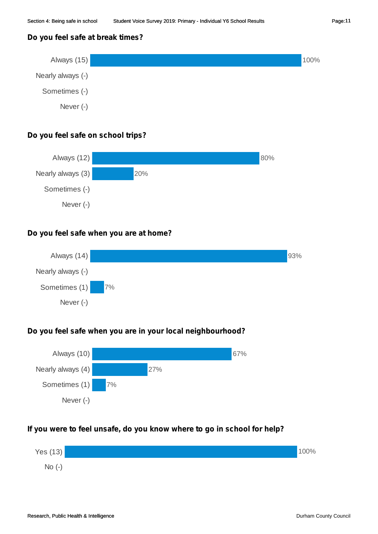## **Do you feel safe at break times?**



## **Do you feel safe on school trips?**



## **Do you feel safe when you are at home?**



# **Do you feel safe when you are in your local neighbourhood?**



# **If you were to feel unsafe, do you know where to go in school for help?**

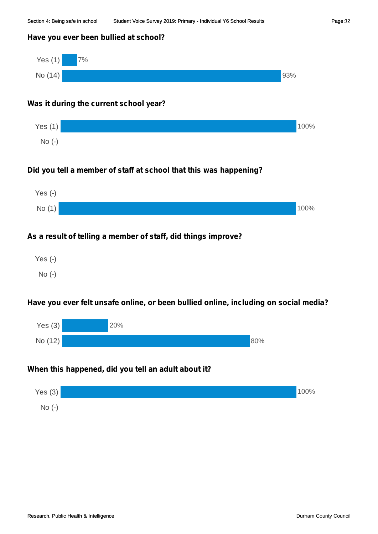#### **Have you ever been bullied at school?**



#### **Was it during the current school year?**



## **Did you tell a member of staff at school that this was happening?**



## **As a result of telling a member of staff, did things improve?**

Yes (-) No (-)

## **Have you ever felt unsafe online, or been bullied online, including on social media?**



#### **When this happened, did you tell an adult about it?**

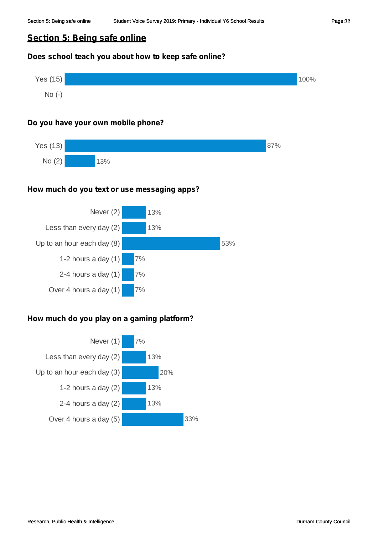# **Section 5: Being safe online**

## **Does school teach you about how to keep safe online?**



#### **Do you have your own mobile phone?**



#### **How much do you text or use messaging apps?**



## **How much do you play on a gaming platform?**

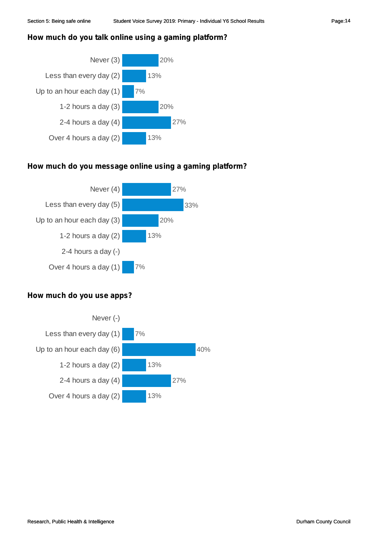## **How much do you talk online using a gaming platform?**



## **How much do you message online using a gaming platform?**



# **How much do you use apps?**

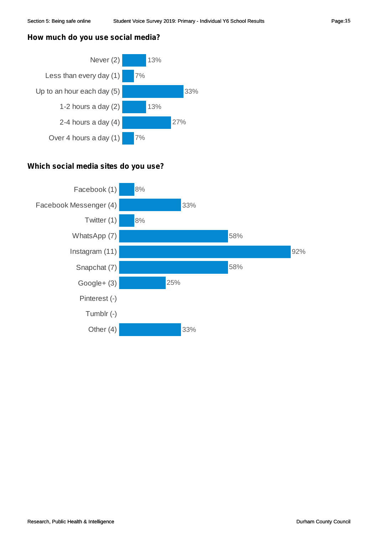## **How much do you use social media?**



# **Which social media sites do you use?**

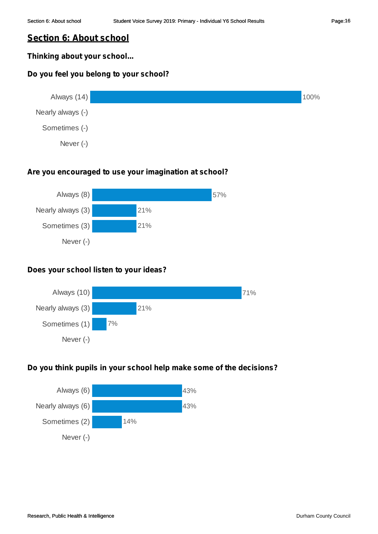# **Section 6: About school**

# **Thinking about your school...**

# **Do you feel you belong to your school?**



## **Are you encouraged to use your imagination at school?**



# **Does your school listen to your ideas?**



# **Do you think pupils in your school help make some of the decisions?**

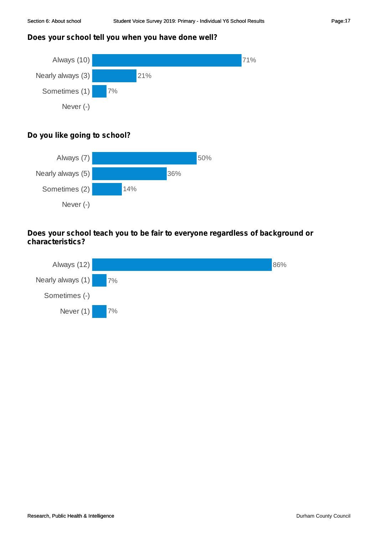#### **Does your school tell you when you have done well?**



## **Do you like going to school?**



## **Does your school teach you to be fair to everyone regardless of background or characteristics?**

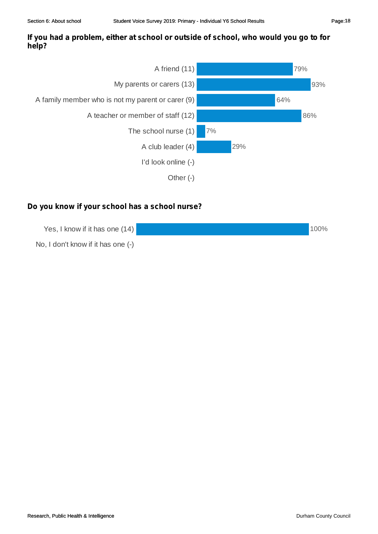# **If you had a problem, either at school or outside of school, who would you go to for help?**



# **Do you know if your school has a school nurse?**

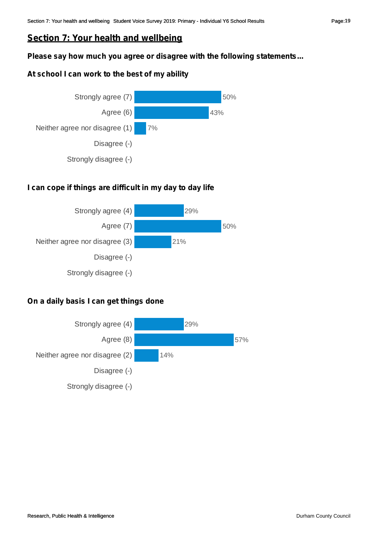# **Section 7: Your health and wellbeing**

## **Please say how much you agree or disagree with the following statements...**

# **At school I can work to the best of my ability**



# **I can cope if things are difficult in my day to day life**



## **On a daily basis I can get things done**

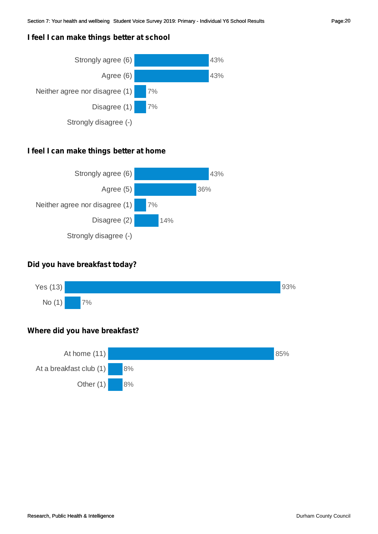#### **I feel I can make things better at school**



#### **I feel I can make things better at home**



#### **Did you have breakfast today?**



# **Where did you have breakfast?**

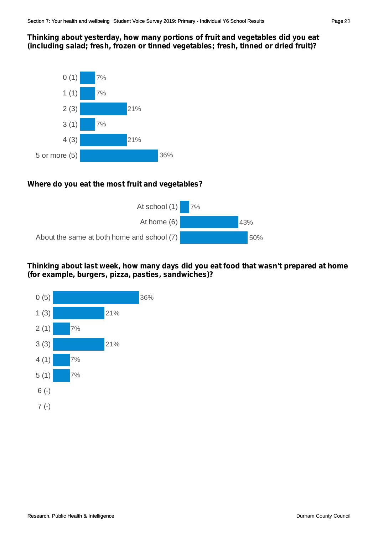## **Thinking about yesterday, how many portions of fruit and vegetables did you eat (including salad; fresh, frozen or tinned vegetables; fresh, tinned or dried fruit)?**



#### **Where do you eat the most fruit and vegetables?**



## **Thinking about last week, how many days did you eat food that wasn't prepared at home (for example, burgers, pizza, pasties, sandwiches)?**

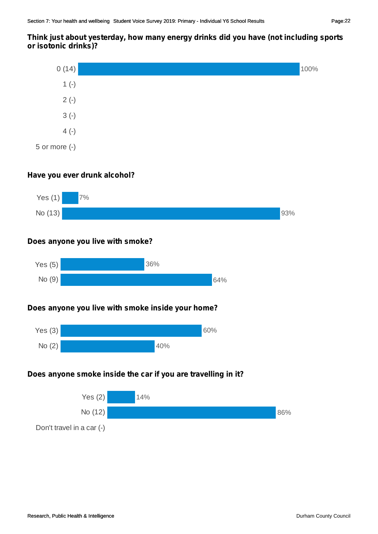## **Think just about yesterday, how many energy drinks did you have (not including sports or isotonic drinks)?**



# **Have you ever drunk alcohol?**



# **Does anyone you live with smoke?**



# **Does anyone you live with smoke inside your home?**



# **Does anyone smoke inside the car if you are travelling in it?**

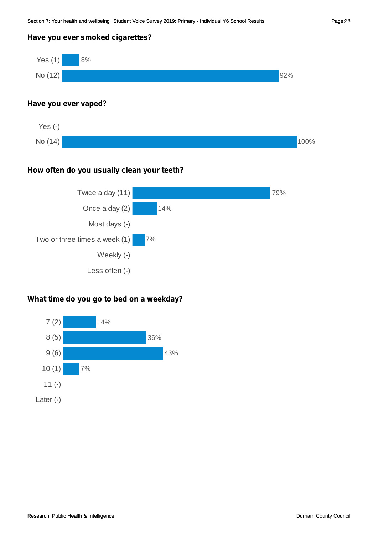#### **Have you ever smoked cigarettes?**



## **Have you ever vaped?**



#### **How often do you usually clean your teeth?**



## **What time do you go to bed on a weekday?**

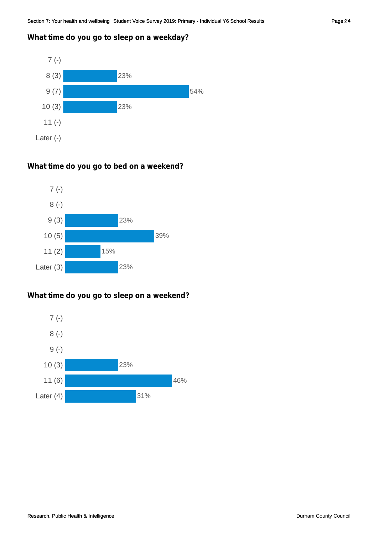#### **What time do you go to sleep on a weekday?**



# **What time do you go to bed on a weekend?**



# **What time do you go to sleep on a weekend?**

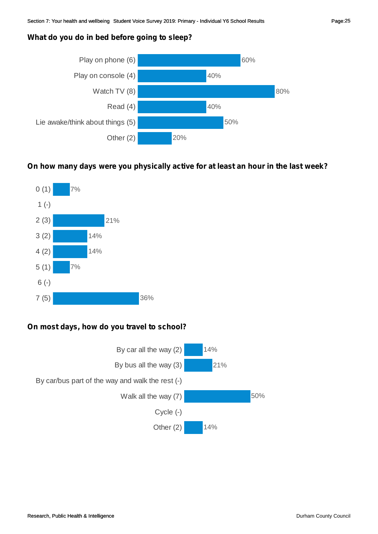# **What do you do in bed before going to sleep?**



# **On how many days were you physically active for at least an hour in the last week?**



## **On most days, how do you travel to school?**

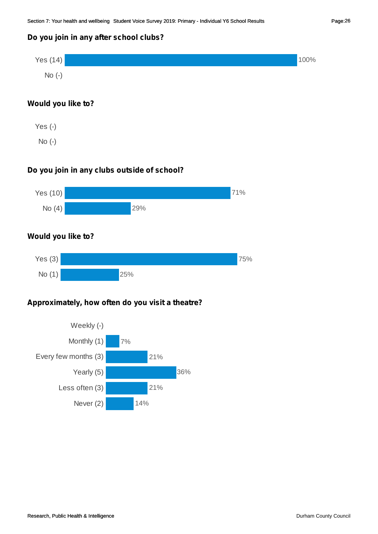## **Do you join in any after school clubs?**



## **Would you like to?**

Yes (-)

No (-)

## **Do you join in any clubs outside of school?**



## **Would you like to?**



# **Approximately, how often do you visit a theatre?**

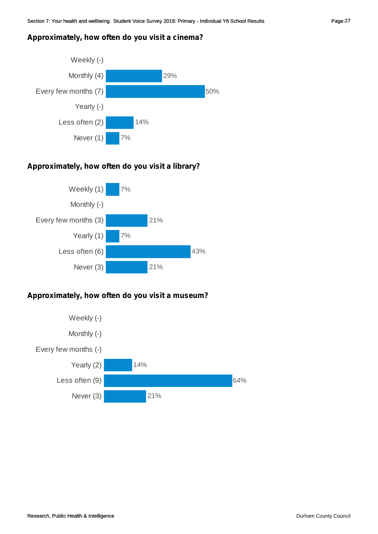#### **Approximately, how often do you visit a cinema?**



## **Approximately, how often do you visit a library?**



## **Approximately, how often do you visit a museum?**